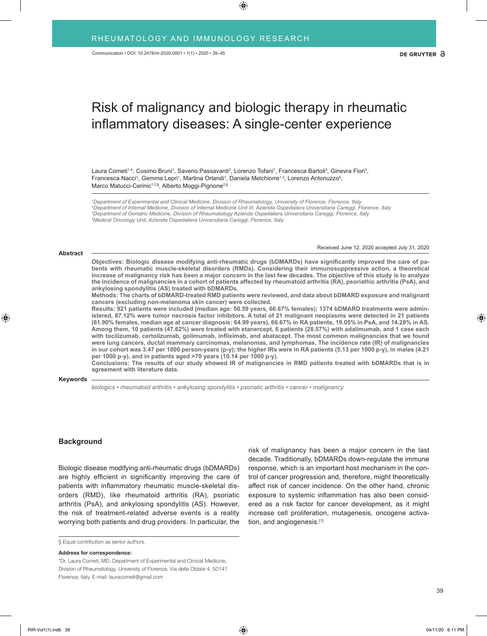# Risk of malignancy and biologic therapy in rheumatic inflammatory diseases: A single-center experience

Laura Cometi<sup>1,\*</sup>, Cosimo Bruni<sup>1</sup>, Saverio Passavanti<sup>2</sup>, Lorenzo Tofani<sup>1</sup>, Francesca Bartoli<sup>3</sup>, Ginevra Fiori<sup>3</sup>, Francesca Nacci<sup>1</sup>, Gemma Lepri<sup>1</sup>, Martina Orlandi<sup>1</sup>, Daniela Melchiorre<sup>1,3</sup>, Lorenzo Antonuzzo<sup>4</sup>, Marco Matucci-Cerinic<sup>1,3,§</sup>, Alberto Moggi-Pignone<sup>2,§</sup>

 *Department of Experimental and Clinical Medicine, Division of Rheumatology, University of Florence, Florence, Italy Department of Internal Medicine, Division of Internal Medicine Unit III, Azienda Ospedaliera Universitaria Careggi, Florence, Italy Department of Geriatric Medicine, Division of Rheumatology Azienda Ospedaliera Universitaria Careggi, Florence, Italy Medical Oncology Unit, Azienda Ospedaliera Universitaria Careggi, Florence, Italy* 

#### **Abstract**

Received June 12, 2020 accepted July 31, 2020

**Objectives: Biologic disease modifying anti-rheumatic drugs (bDMARDs) have significantly improved the care of patients with rheumatic muscle-skeletal disorders (RMDs). Considering their immunosuppressive action, a theoretical increase of malignancy risk has been a major concern in the last few decades. The objective of this study is to analyze the incidence of malignancies in a cohort of patients affected by rheumatoid arthritis (RA), psoriathic arthritis (PsA), and ankylosing spondylitis (AS) treated with bDMARDs.**

**Methods: The charts of bDMARD-treated RMD patients were reviewed, and data about bDMARD exposure and malignant cancers (excluding non-melanoma skin cancer) were collected.**

**Results: 921 patients were included (median age: 50.59 years, 66.67% females); 1374 bDMARD treatments were administered, 87.12% were tumor necrosis factor inhibitors. A total of 21 malignant neoplasms were detected in 21 patients (61.90% females, median age at cancer diagnosis: 64.99 years), 66.67% in RA patients, 19.05% in PsA, and 14.28% in AS. Among them, 10 patients (47.62%) were treated with etanercept, 6 patients (28.57%) with adalimumab, and 1 case each with tocilizumab, certolizumab, golimumab, infliximab, and abatacept. The most common malignancies that we found were lung cancers, ductal mammary carcinomas, melanomas, and lymphomas. The incidence rate (IR) of malignancies in our cohort was 3.47 per 1000 person-years (p-y); the higher IRs were in RA patients (5.13 per 1000 p-y), in males (4.21 per 1000 p-y), and in patients aged >70 years (10.14 per 1000 p-y).**

**Conclusions: The results of our study showed IR of malignancies in RMD patients treated with bDMARDs that is in agreement with literature data.**

#### **Keywords**

*biologics • rheumatoid arthritis • ankylosing spondylitis • psoriatic arthritis • cancer • malignancy*

## **Background**

Biologic disease modifying anti-rheumatic drugs (bDMARDs) are highly efficient in significantly improving the care of patients with inflammatory rheumatic muscle-skeletal disorders (RMD), like rheumatoid arthritis (RA), psoriatic arthritis (PsA), and ankylosing spondylitis (AS). However, the risk of treatment-related adverse events is a reality worrying both patients and drug providers. In particular, the

§ Equal contribution as senior authors.

**Address for correspondence:**

risk of malignancy has been a major concern in the last decade. Traditionally, bDMARDs down-regulate the immune response, which is an important host mechanism in the control of cancer progression and, therefore, might theoretically affect risk of cancer incidence. On the other hand, chronic exposure to systemic inflammation has also been considered as a risk factor for cancer development, as it might increase cell proliferation, mutagenesis, oncogene activation, and angiogenesis.[1]

<sup>\*</sup>Dr. Laura Cometi, MD, Department of Experimental and Clinical Medicine, Division of Rheumatology, University of Florence, Via delle Oblate 4, 50141 Florence, Italy. E-mail: lauracometi@gmail.com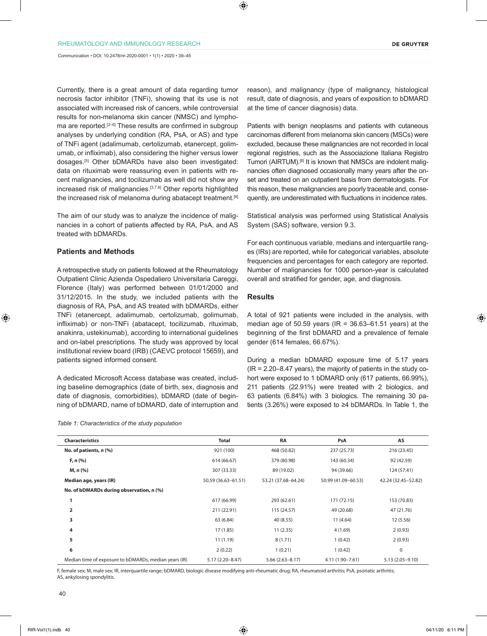Currently, there is a great amount of data regarding tumor necrosis factor inhibitor (TNFi), showing that its use is not associated with increased risk of cancers, while controversial results for non-melanoma skin cancer (NMSC) and lymphoma are reported.<sup>[2–6]</sup> These results are confirmed in subgroup analyses by underlying condition (RA, PsA, or AS) and type of TNFi agent (adalimumab, certolizumab, etanercept, golimumab, or infliximab), also considering the higher versus lower dosages.[5] Other bDMARDs have also been investigated: data on rituximab were reassuring even in patients with recent malignancies, and tocilizumab as well did not show any increased risk of malignancies.<sup>[3,7,8]</sup> Other reports highlighted the increased risk of melanoma during abatacept treatment.<sup>[6]</sup>

The aim of our study was to analyze the incidence of malignancies in a cohort of patients affected by RA, PsA, and AS treated with bDMARDs.

# **Patients and Methods**

A retrospective study on patients followed at the Rheumatology Outpatient Clinic Azienda Ospedaliero Universitaria Careggi, Florence (Italy) was performed between 01/01/2000 and 31/12/2015. In the study, we included patients with the diagnosis of RA, PsA, and AS treated with bDMARDs, either TNFi (etanercept, adalimumab, certolizumab, golimumab, infliximab) or non-TNFi (abatacept, tocilizumab, rituximab, anakinra, ustekinumab), according to international guidelines and on-label prescriptions. The study was approved by local institutional review board (IRB) (CAEVC protocol 15659), and patients signed informed consent.

A dedicated Microsoft Access database was created, including baseline demographics (date of birth, sex, diagnosis and date of diagnosis, comorbidities), bDMARD (date of beginning of bDMARD, name of bDMARD, date of interruption and

|  | Table 1: Characteristics of the study population |  |  |
|--|--------------------------------------------------|--|--|
|--|--------------------------------------------------|--|--|

reason), and malignancy (type of malignancy, histological result, date of diagnosis, and years of exposition to bDMARD at the time of cancer diagnosis) data.

Patients with benign neoplasms and patients with cutaneous carcinomas different from melanoma skin cancers (MSCs) were excluded, because these malignancies are not recorded in local regional registries, such as the Associazione Italiana Registro Tumori (AIRTUM).[8] It is known that NMSCs are indolent malignancies often diagnosed occasionally many years after the onset and treated on an outpatient basis from dermatologists. For this reason, these malignancies are poorly traceable and, consequently, are underestimated with fluctuations in incidence rates.

Statistical analysis was performed using Statistical Analysis System (SAS) software, version 9.3.

For each continuous variable, medians and interquartile ranges (IRs) are reported, while for categorical variables, absolute frequencies and percentages for each category are reported. Number of malignancies for 1000 person-year is calculated overall and stratified for gender, age, and diagnosis.

# **Results**

A total of 921 patients were included in the analysis, with median age of 50.59 years ( $IR = 36.63-61.51$  years) at the beginning of the first bDMARD and a prevalence of female gender (614 females, 66.67%).

During a median bDMARD exposure time of 5.17 years (IR = 2.20–8.47 years), the majority of patients in the study cohort were exposed to 1 bDMARD only (617 patients, 66.99%), 211 patients (22.91%) were treated with 2 biologics, and 63 patients (6.84%) with 3 biologics. The remaining 30 patients (3.26%) were exposed to ≥4 bDMARDs. In Table 1, the

| <b>Characteristics</b>                                | <b>Total</b>        | <b>RA</b>           | PsA                 | AS                  |
|-------------------------------------------------------|---------------------|---------------------|---------------------|---------------------|
| No. of patients, $n$ (%)                              | 921 (100)           | 468 (50.82)         | 237 (25.73)         | 216 (23.45)         |
| F, n (% )                                             | 614 (66.67)         | 379 (80.98)         | 143 (60.34)         | 92 (42.59)          |
| M, n (%)                                              | 307 (33.33)         | 89 (19.02)          | 94 (39.66)          | 124 (57.41)         |
| Median age, years (IR)                                | 50.59 (36.63-61.51) | 53.21 (37.68-64.24) | 50.99 (41.09-60.53) | 42.24 (32.45-52.82) |
| No. of bDMARDs during observation, n (%)              |                     |                     |                     |                     |
| 1                                                     | 617 (66.99)         | 293 (62.61)         | 171 (72.15)         | 153 (70.83)         |
| $\overline{2}$                                        | 211 (22.91)         | 115 (24.57)         | 49 (20.68)          | 47 (21.76)          |
| 3                                                     | 63 (6.84)           | 40 (8.55)           | 11(4.64)            | 12 (5.56)           |
| 4                                                     | 17(1.85)            | 11(2.35)            | 4 (1.69)            | 2(0.93)             |
| 5                                                     | 11(1.19)            | 8(1.71)             | 1(0.42)             | 2(0.93)             |
| 6                                                     | 2(0.22)             | 1(0.21)             | 1(0.42)             | $\mathsf 0$         |
| Median time of exposure to bDMARDs, median years (IR) | $5.17(2.20 - 8.47)$ | $5.66(2.63 - 8.17)$ | 4.11 (1.90-7.61)    | $5.13(2.05 - 9.10)$ |

F, female sex; M, male sex; IR, interquartile range; bDMARD, biologic disease modifying anti-rheumatic drug; RA, rheumatoid arthritis; PsA, psoriatic arthritis; AS, ankylosing spondylitis.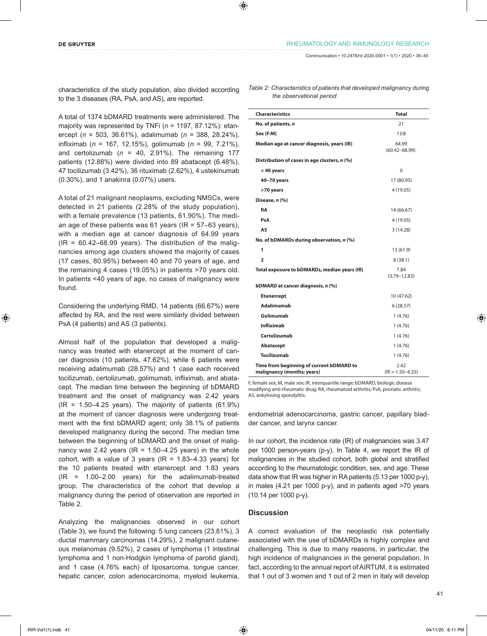characteristics of the study population, also divided according to the 3 diseases (RA, PsA, and AS), are reported.

A total of 1374 bDMARD treatments were administered. The majority was represented by TNFi (*n* = 1197, 87.12%): etanercept (*n* = 503, 36.61%), adalimumab (*n* = 388, 28.24%), infliximab (*n* = 167, 12.15%), golimumab (*n* = 99, 7.21%), and certolizumab ( $n = 40$ , 2.91%). The remaining 177 patients (12.88%) were divided into 89 abatacept (6.48%), 47 tocilizumab (3.42%), 36 rituximab (2.62%), 4 ustekinumab (0.30%), and 1 anakinra (0.07%) users.

A total of 21 malignant neoplasms, excluding NMSCs, were detected in 21 patients (2.28% of the study population), with a female prevalence (13 patients, 61.90%). The median age of these patients was 61 years ( $IR = 57-63$  years), with a median age at cancer diagnosis of 64.99 years  $(IR = 60.42 - 68.99$  years). The distribution of the malignancies among age clusters showed the majority of cases (17 cases, 80.95%) between 40 and 70 years of age, and the remaining 4 cases (19.05%) in patients >70 years old. In patients <40 years of age, no cases of malignancy were found.

Considering the underlying RMD, 14 patients (66.67%) were affected by RA, and the rest were similarly divided between PsA (4 patients) and AS (3 patients).

Almost half of the population that developed a malignancy was treated with etanercept at the moment of cancer diagnosis (10 patients, 47.62%), while 6 patients were receiving adalimumab (28.57%) and 1 case each received tocilizumab, certolizumab, golimumab, infliximab, and abatacept. The median time between the beginning of bDMARD treatment and the onset of malignancy was 2.42 years  $(IR = 1.50 - 4.25$  years). The majority of patients  $(61.9\%)$ at the moment of cancer diagnosis were undergoing treatment with the first bDMARD agent; only 38.1% of patients developed malignancy during the second. The median time between the beginning of bDMARD and the onset of malignancy was 2.42 years ( $IR = 1.50-4.25$  years) in the whole cohort, with a value of 3 years ( $IR = 1.83-4.33$  years) for the 10 patients treated with etanercept and 1.83 years (IR = 1.00–2.00 years) for the adalimumab-treated group. The characteristics of the cohort that develop a malignancy during the period of observation are reported in Table 2.

Analyzing the malignancies observed in our cohort (Table 3), we found the following: 5 lung cancers (23.81%), 3 ductal mammary carcinomas (14.29%), 2 malignant cutaneous melanomas (9.52%), 2 cases of lymphoma (1 intestinal lymphoma and 1 non-Hodgkin lymphoma of parotid gland), and 1 case (4.76% each) of liposarcoma, tongue cancer, hepatic cancer, colon adenocarcinoma, myeloid leukemia, *Table 2: Characteristics of patients that developed malignancy during the observational period*

| <b>Characteristics</b>                                                 | <b>Total</b>                 |
|------------------------------------------------------------------------|------------------------------|
| No. of patients, n                                                     | 21                           |
| Sex (F:M)                                                              | 13:8                         |
| Median age at cancer diagnosis, years (IR)                             | 64.99<br>$(60.42 - 68.99)$ . |
| Distribution of cases in age clusters, n (%)                           |                              |
| < 40 years                                                             | 0                            |
| 40-70 years                                                            | 17 (80.95)                   |
| >70 years                                                              | 4(19.05)                     |
| Disease, n (%)                                                         |                              |
| <b>RA</b>                                                              | 14 (66.67)                   |
| PsA                                                                    | 4(19.05)                     |
| AS                                                                     | 3(14.28)                     |
| No. of bDMARDs during observation, n (%)                               |                              |
| 1                                                                      | 13 (61.9)                    |
| $\overline{a}$                                                         | 8(38.1)                      |
| Total exposure to bDMARDs, median years (IR)                           | 7.84<br>$(3.79 - 12.83)$     |
| bDMARD at cancer diagnosis, n (%)                                      |                              |
| <b>Etanercept</b>                                                      | 10 (47.62)                   |
| Adalimumab                                                             | 6(28.57)                     |
| Golimumab                                                              | 1(4.76)                      |
| <b>Infliximab</b>                                                      | 1(4.76)                      |
| Certolizumab                                                           | 1(4.76)                      |
| Abatacept                                                              | 1(4.76)                      |
| <b>Tocilizumab</b>                                                     | 1(4.76)                      |
| Time from beginning of current bDMARD to<br>malignancy (months; years) | 2.42<br>$(IR = 1.50 - 4.25)$ |

F, female sex; M, male sex; IR, interquartile range; bDMARD, biologic disease modifying anti-rheumatic drug; RA, rheumatoid arthritis; PsA, psoriatic arthritis; AS, ankylosing spondylitis.

endometrial adenocarcinoma, gastric cancer, papillary bladder cancer, and larynx cancer.

In our cohort, the incidence rate (IR) of malignancies was 3.47 per 1000 person-years (p-y). In Table 4, we report the IR of malignancies in the studied cohort, both global and stratified according to the rheumatologic condition, sex, and age. These data show that IR was higher in RA patients (5.13 per 1000 p-y), in males (4.21 per 1000 p-y), and in patients aged >70 years (10.14 per 1000 p-y).

# **Discussion**

A correct evaluation of the neoplastic risk potentially associated with the use of bDMARDs is highly complex and challenging. This is due to many reasons, in particular, the high incidence of malignancies in the general population. In fact, according to the annual report of AIRTUM, it is estimated that 1 out of 3 women and 1 out of 2 men in Italy will develop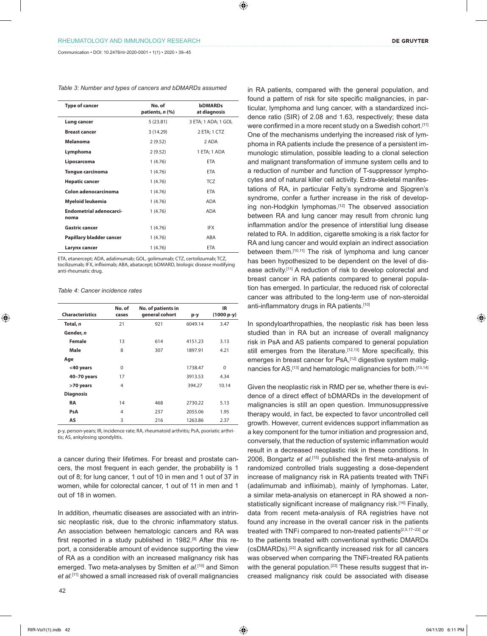Communication • DOI: 10.2478/rir-2020-0001 • 1(1) • 2020 • 39–45

|  | Table 3: Number and types of cancers and bDMARDs assumed |
|--|----------------------------------------------------------|
|--|----------------------------------------------------------|

| <b>Type of cancer</b>           | No. of<br>patients, n (%) | <b>bDMARDs</b><br>at diagnosis |  |
|---------------------------------|---------------------------|--------------------------------|--|
| Lung cancer                     | 5(23.81)                  | 3 ETA; 1 ADA; 1 GOL            |  |
| <b>Breast cancer</b>            | 3(14.29)                  | 2 ETA; 1 CTZ                   |  |
| Melanoma                        | 2(9.52)                   | 2 ADA                          |  |
| Lymphoma                        | 2(9.52)                   | 1 ETA; 1 ADA                   |  |
| Liposarcoma                     | 1 (4.76)                  | <b>ETA</b>                     |  |
| <b>Tongue carcinoma</b>         | 1 (4.76)                  | <b>ETA</b>                     |  |
| <b>Hepatic cancer</b>           | 1(4.76)                   | <b>TCZ</b>                     |  |
| Colon adenocarcinoma            | 1(4.76)                   | <b>ETA</b>                     |  |
| Myeloid leukemia                | 1(4.76)                   | <b>ADA</b>                     |  |
| Endometrial adenocarci-<br>noma | 1(4.76)                   | <b>ADA</b>                     |  |
| <b>Gastric cancer</b>           | 1 (4.76)                  | <b>IFX</b>                     |  |
| Papillary bladder cancer        | 1 (4.76)                  | ABA                            |  |
| Larynx cancer                   | 1 (4.76)                  | <b>ETA</b>                     |  |

ETA, etanercept; ADA, adalimumab; GOL, golimumab; CTZ, certolizumab; TCZ, tocilizumab; IFX, infliximab; ABA, abatacept; bDMARD, biologic disease modifying anti-rheumatic drug.

|  |  |  | Table 4: Cancer incidence rates |  |
|--|--|--|---------------------------------|--|
|--|--|--|---------------------------------|--|

| <b>Characteristics</b> | No. of<br>cases | No. of patients in<br>general cohort | p-y     | IR.<br>$(1000 p-y)$ |
|------------------------|-----------------|--------------------------------------|---------|---------------------|
| Total, n               | 21              | 921                                  | 6049.14 | 3.47                |
| Gender, n              |                 |                                      |         |                     |
| Female                 | 13              | 614                                  | 4151.23 | 3.13                |
| Male                   | 8               | 307                                  | 1897.91 | 4.21                |
| Age                    |                 |                                      |         |                     |
| <40 years              | $\Omega$        |                                      | 1738.47 | $\Omega$            |
| 40-70 years            | 17              |                                      | 3913.53 | 4.34                |
| >70 years              | 4               |                                      | 394.27  | 10.14               |
| <b>Diagnosis</b>       |                 |                                      |         |                     |
| RA                     | 14              | 468                                  | 2730.22 | 5.13                |
| PsA                    | 4               | 237                                  | 2055.06 | 1.95                |
| AS                     | 3               | 216                                  | 1263.86 | 2.37                |

p-y, person-years; IR, incidence rate; RA, rheumatoid arthritis; PsA, psoriatic arthritis; AS, ankylosing spondylitis.

a cancer during their lifetimes. For breast and prostate cancers, the most frequent in each gender, the probability is 1 out of 8; for lung cancer, 1 out of 10 in men and 1 out of 37 in women, while for colorectal cancer, 1 out of 11 in men and 1 out of 18 in women.

In addition, rheumatic diseases are associated with an intrinsic neoplastic risk, due to the chronic inflammatory status. An association between hematologic cancers and RA was first reported in a study published in 1982.<sup>[9]</sup> After this report, a considerable amount of evidence supporting the view of RA as a condition with an increased malignancy risk has emerged. Two meta-analyses by Smitten *et al.*[10] and Simon et al.<sup>[11]</sup> showed a small increased risk of overall malignancies

in RA patients, compared with the general population, and found a pattern of risk for site specific malignancies, in particular, lymphoma and lung cancer, with a standardized incidence ratio (SIR) of 2.08 and 1.63, respectively; these data were confirmed in a more recent study on a Swedish cohort.<sup>[11]</sup> One of the mechanisms underlying the increased risk of lymphoma in RA patients include the presence of a persistent immunologic stimulation, possible leading to a clonal selection and malignant transformation of immune system cells and to a reduction of number and function of T-suppressor lymphocytes and of natural killer cell activity. Extra-skeletal manifestations of RA, in particular Felty's syndrome and Sjogren's syndrome, confer a further increase in the risk of developing non-Hodgkin lymphomas.<sup>[12]</sup> The observed association between RA and lung cancer may result from chronic lung inflammation and/or the presence of interstitial lung disease related to RA. In addition, cigarette smoking is a risk factor for RA and lung cancer and would explain an indirect association between them.[10,11] The risk of lymphoma and lung cancer has been hypothesized to be dependent on the level of disease activity.[11] A reduction of risk to develop colorectal and breast cancer in RA patients compared to general population has emerged. In particular, the reduced risk of colorectal cancer was attributed to the long-term use of non-steroidal anti-inflammatory drugs in RA patients.[10]

In spondyloarthropathies, the neoplastic risk has been less studied than in RA but an increase of overall malignancy risk in PsA and AS patients compared to general population still emerges from the literature.<sup>[12,13]</sup> More specifically, this emerges in breast cancer for PsA,<sup>[12]</sup> digestive system malignancies for AS, [13] and hematologic malignancies for both. [13,14]

Given the neoplastic risk in RMD per se, whether there is evidence of a direct effect of bDMARDs in the development of malignancies is still an open question. Immunosuppressive therapy would, in fact, be expected to favor uncontrolled cell growth. However, current evidences support inflammation as a key component for the tumor initiation and progression and, conversely, that the reduction of systemic inflammation would result in a decreased neoplastic risk in these conditions. In 2006, Bongartz *et al.*[15] published the first meta-analysis of randomized controlled trials suggesting a dose-dependent increase of malignancy risk in RA patients treated with TNFi (adalimumab and infliximab), mainly of lymphomas. Later, a similar meta-analysis on etanercept in RA showed a nonstatistically significant increase of malignancy risk.<sup>[16]</sup> Finally, data from recent meta-analysis of RA registries have not found any increase in the overall cancer risk in the patients treated with TNFi compared to non-treated patients[2,5,17–22] or to the patients treated with conventional synthetic DMARDs (csDMARDs).[22] A significantly increased risk for all cancers was observed when comparing the TNFi-treated RA patients with the general population.<sup>[23]</sup> These results suggest that increased malignancy risk could be associated with disease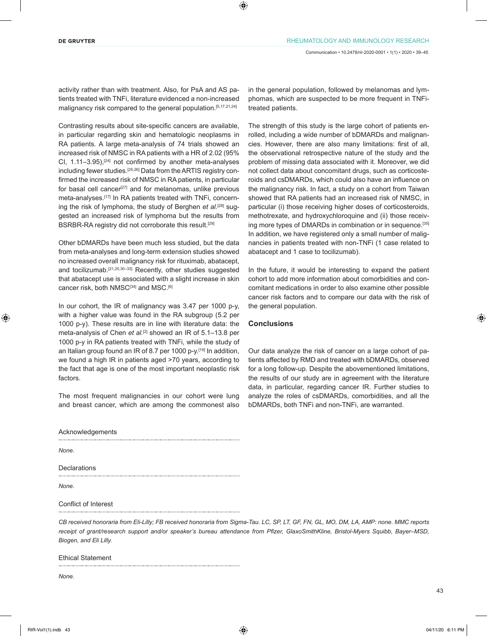activity rather than with treatment. Also, for PsA and AS patients treated with TNFi, literature evidenced a non-increased malignancy risk compared to the general population.[5,17,21,24]

Contrasting results about site-specific cancers are available, in particular regarding skin and hematologic neoplasms in RA patients. A large meta-analysis of 74 trials showed an increased risk of NMSC in RA patients with a HR of 2.02 (95% CI,  $1.11-3.95$ ),  $[24]$  not confirmed by another meta-analyses including fewer studies.<sup>[25,26]</sup> Data from the ARTIS registry confirmed the increased risk of NMSC in RA patients, in particular for basal cell cancer<sup>[27]</sup> and for melanomas, unlike previous meta-analyses.<sup>[17]</sup> In RA patients treated with TNFi, concerning the risk of lymphoma, the study of Berghen *et al.*[28] suggested an increased risk of lymphoma but the results from BSRBR-RA registry did not corroborate this result.[29]

Other bDMARDs have been much less studied, but the data from meta-analyses and long-term extension studies showed no increased overall malignancy risk for rituximab, abatacept, and tocilizumab.[21,25,30–33] Recently, other studies suggested that abatacept use is associated with a slight increase in skin cancer risk, both NMSC[34] and MSC.<sup>[6]</sup>

In our cohort, the IR of malignancy was 3.47 per 1000 p-y, with a higher value was found in the RA subgroup (5.2 per 1000 p-y). These results are in line with literature data: the meta-analysis of Chen *et al.*<sup>[2]</sup> showed an IR of 5.1-13.8 per 1000 p-y in RA patients treated with TNFi, while the study of an Italian group found an IR of 8.7 per 1000 p-y.<sup>[19]</sup> In addition, we found a high IR in patients aged >70 years, according to the fact that age is one of the most important neoplastic risk factors.

The most frequent malignancies in our cohort were lung and breast cancer, which are among the commonest also in the general population, followed by melanomas and lymphomas, which are suspected to be more frequent in TNFitreated patients.

The strength of this study is the large cohort of patients enrolled, including a wide number of bDMARDs and malignancies. However, there are also many limitations: first of all, the observational retrospective nature of the study and the problem of missing data associated with it. Moreover, we did not collect data about concomitant drugs, such as corticosteroids and csDMARDs, which could also have an influence on the malignancy risk. In fact, a study on a cohort from Taiwan showed that RA patients had an increased risk of NMSC, in particular (i) those receiving higher doses of corticosteroids, methotrexate, and hydroxychloroquine and (ii) those receiving more types of DMARDs in combination or in sequence.[35] In addition, we have registered only a small number of malignancies in patients treated with non-TNFi (1 case related to abatacept and 1 case to tocilizumab).

In the future, it would be interesting to expand the patient cohort to add more information about comorbidities and concomitant medications in order to also examine other possible cancer risk factors and to compare our data with the risk of the general population.

# **Conclusions**

Our data analyze the risk of cancer on a large cohort of patients affected by RMD and treated with bDMARDs, observed for a long follow-up. Despite the abovementioned limitations, the results of our study are in agreement with the literature data, in particular, regarding cancer IR. Further studies to analyze the roles of csDMARDs, comorbidities, and all the bDMARDs, both TNFi and non-TNFi, are warranted.

Acknowledgements

*None.*

Declarations

*None.*

Conflict of Interest

*CB received honoraria from Eli-Lilly; FB received honoraria from Sigma-Tau. LC, SP, LT, GF, FN, GL, MO, DM, LA, AMP: none. MMC reports receipt of grant/research support and/or speaker's bureau attendance from Pfizer, GlaxoSmithKline, Bristol-Myers Squibb, Bayer–MSD, Biogen, and Eli Lilly.*

Ethical Statement

*None.*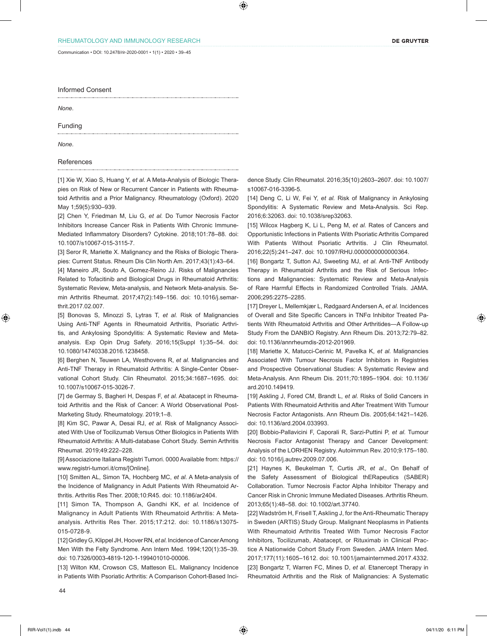Communication • DOI: 10.2478/rir-2020-0001 • 1(1) • 2020 • 39–45

Informed Consent

*None.*

Funding

*None.*

### References

[1] Xie W, Xiao S, Huang Y, *et al.* A Meta-Analysis of Biologic Therapies on Risk of New or Recurrent Cancer in Patients with Rheumatoid Arthritis and a Prior Malignancy. Rheumatology (Oxford). 2020 May 1;59(5):930–939.

[2] Chen Y, Friedman M, Liu G, *et al.* Do Tumor Necrosis Factor Inhibitors Increase Cancer Risk in Patients With Chronic Immune-Mediated Inflammatory Disorders? Cytokine. 2018;101:78–88. doi: 10.1007/s10067-015-3115-7.

[3] Seror R, Mariette X. Malignancy and the Risks of Biologic Therapies: Current Status. Rheum Dis Clin North Am. 2017;43(1):43–64.

[4] Maneiro JR, Souto A, Gomez-Reino JJ. Risks of Malignancies Related to Tofacitinib and Biological Drugs in Rheumatoid Arthritis: Systematic Review, Meta-analysis, and Network Meta-analysis. Semin Arthritis Rheumat. 2017;47(2):149–156. doi: 10.1016/j.semarthrit.2017.02.007.

[5] Bonovas S, Minozzi S, Lytras T, *et al.* Risk of Malignancies Using Anti-TNF Agents in Rheumatoid Arthritis, Psoriatic Arthritis, and Ankylosing Spondylitis: A Systematic Review and Metaanalysis. Exp Opin Drug Safety. 2016;15(Suppl 1):35–54. doi: 10.1080/14740338.2016.1238458.

[6] Berghen N, Teuwen LA, Westhovens R, *et al.* Malignancies and Anti-TNF Therapy in Rheumatoid Arthritis: A Single-Center Observational Cohort Study. Clin Rheumatol. 2015;34:1687–1695. doi: 10.1007/s10067-015-3026-7.

[7] de Germay S, Bagheri H, Despas F, *et al.* Abatacept in Rheumatoid Arthritis and the Risk of Cancer: A World Observational Post-Marketing Study. Rheumatology. 2019;1–8.

[8] Kim SC, Pawar A, Desai RJ, *et al.* Risk of Malignancy Associated With Use of Tocilizumab Versus Other Biologics in Patients With Rheumatoid Arthritis: A Multi-database Cohort Study. Semin Arthritis Rheumat. 2019;49:222–228.

[9] Associazione Italiana Registri Tumori. 0000 Available from: https:// www.registri-tumori.it/cms/[Online].

[10] Smitten AL, Simon TA, Hochberg MC, *et al.* A Meta-analysis of the Incidence of Malignancy in Adult Patients With Rheumatoid Arthritis. Arthritis Res Ther. 2008;10:R45. doi: 10.1186/ar2404.

[11] Simon TA, Thompson A, Gandhi KK, *et al.* Incidence of Malignancy in Adult Patients With Rheumatoid Arthritis: A Metaanalysis. Arthritis Res Ther. 2015;17:212. doi: 10.1186/s13075- 015-0728-9.

[12] Gridley G, Klippel JH, Hoover RN, *et al.* Incidence of Cancer Among Men With the Felty Syndrome. Ann Intern Med. 1994;120(1):35–39. doi: 10.7326/0003-4819-120-1-199401010-00006.

[13] Wilton KM, Crowson CS, Matteson EL. Malignancy Incidence in Patients With Psoriatic Arthritis: A Comparison Cohort-Based Inci-

44

dence Study. Clin Rheumatol. 2016;35(10):2603–2607. doi: 10.1007/ s10067-016-3396-5.

[14] Deng C, Li W, Fei Y, *et al.* Risk of Malignancy in Ankylosing Spondylitis: A Systematic Review and Meta-Analysis. Sci Rep. 2016;6:32063. doi: 10.1038/srep32063.

[15] Wilcox Hagberg K, Li L, Peng M, et al. Rates of Cancers and Opportunistic Infections in Patients With Psoriatic Arthritis Compared With Patients Without Psoriatic Arthritis. J Clin Rheumatol. 2016;22(5):241–247. doi: 10.1097/RHU.0000000000000364.

[16] Bongartz T, Sutton AJ, Sweeting MJ, *et al.* Anti-TNF Antibody Therapy in Rheumatoid Arthritis and the Risk of Serious Infections and Malignancies: Systematic Review and Meta-Analysis of Rare Harmful Effects in Randomized Controlled Trials. JAMA. 2006;295:2275–2285.

[17] Dreyer L, Mellemkjær L, Rødgaard Andersen A, *et al.* Incidences of Overall and Site Specific Cancers in TNFα Inhibitor Treated Patients With Rheumatoid Arthritis and Other Arthritides—A Follow-up Study From the DANBIO Registry. Ann Rheum Dis. 2013;72:79–82. doi: 10.1136/annrheumdis-2012-201969.

[18] Mariette X, Matucci-Cerinic M, Pavelka K, *et al.* Malignancies Associated With Tumour Necrosis Factor Inhibitors in Registries and Prospective Observational Studies: A Systematic Review and Meta-Analysis. Ann Rheum Dis. 2011;70:1895–1904. doi: 10.1136/ ard.2010.149419.

[19] Askling J, Fored CM, Brandt L, *et al.* Risks of Solid Cancers in Patients With Rheumatoid Arthritis and After Treatment With Tumour Necrosis Factor Antagonists. Ann Rheum Dis. 2005;64:1421–1426. doi: 10.1136/ard.2004.033993.

[20] Bobbio-Pallavicini F, Caporali R, Sarzi-Puttini P, *et al.* Tumour Necrosis Factor Antagonist Therapy and Cancer Development: Analysis of the LORHEN Registry. Autoimmun Rev. 2010;9:175–180. doi: 10.1016/j.autrev.2009.07.006.

[21] Haynes K, Beukelman T, Curtis JR, *et al.*, On Behalf of the Safety Assessment of Biological thERapeutics (SABER) Collaboration. Tumor Necrosis Factor Alpha Inhibitor Therapy and Cancer Risk in Chronic Immune Mediated Diseases. Arthritis Rheum. 2013;65(1):48–58. doi: 10.1002/art.37740.

[22] Wadström H, Frisell T, Askling J, for the Anti-Rheumatic Therapy in Sweden (ARTIS) Study Group. Malignant Neoplasms in Patients With Rheumatoid Arthritis Treated With Tumor Necrosis Factor Inhibitors, Tocilizumab, Abatacept, or Rituximab in Clinical Practice A Nationwide Cohort Study From Sweden. JAMA Intern Med. 2017;177(11):1605–1612. doi: 10.1001/jamainternmed.2017.4332. [23] Bongartz T, Warren FC, Mines D, *et al.* Etanercept Therapy in Rheumatoid Arthritis and the Risk of Malignancies: A Systematic